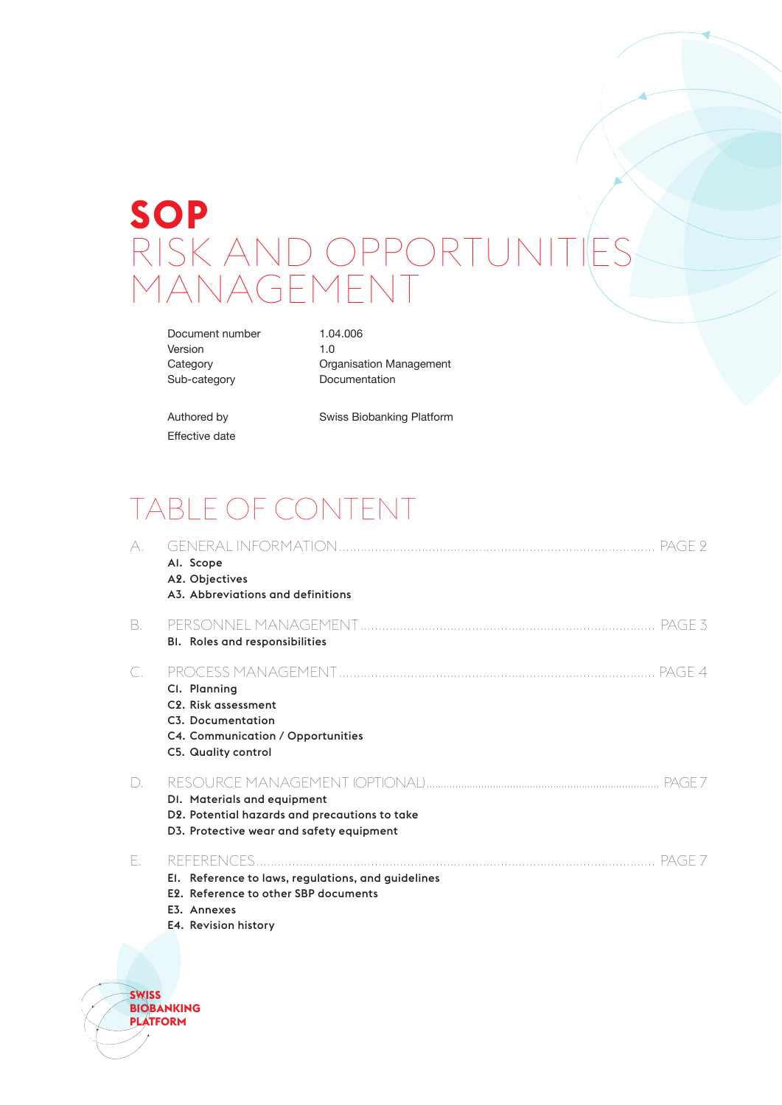# **SOP** RISK AND OPPORTUNITIES *IANAGEMEN*

Document number 1.04.006 Version 1.0

Category **Category** Organisation Management Sub-category Documentation

Effective date

Authored by Swiss Biobanking Platform

# TABLE OF CONTENT

| A. | Al. Scope<br>A2. Objectives<br>A3. Abbreviations and definitions                                                                  |
|----|-----------------------------------------------------------------------------------------------------------------------------------|
| B. | BI. Roles and responsibilities                                                                                                    |
| C. | Cl. Planning<br>C <sub>2</sub> . Risk assessment<br>C3. Documentation<br>C4. Communication / Opportunities<br>C5. Quality control |
| D. | DI. Materials and equipment<br>D2. Potential hazards and precautions to take<br>D3. Protective wear and safety equipment          |
| Е. | El. Reference to laws, regulations, and guidelines<br>E2. Reference to other SBP documents<br>E3. Annexes                         |

E4. [Revision history](#page-6-0)

**SWISS BIOBANKING**

**PLATFORM**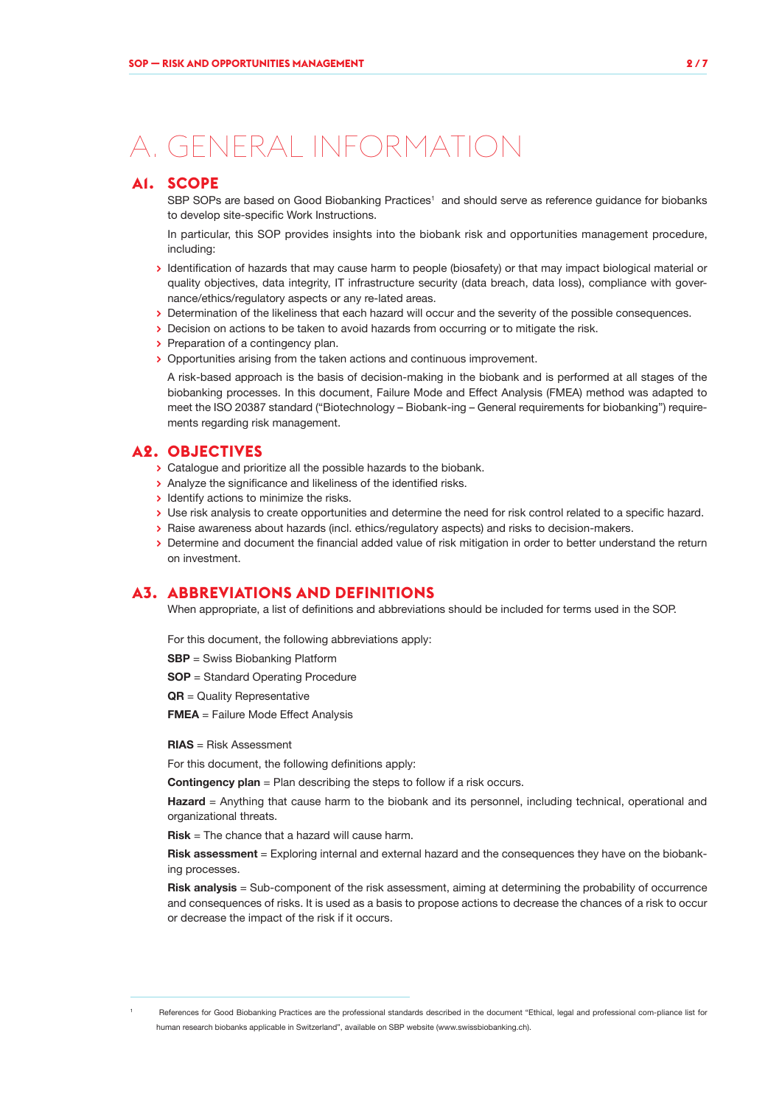# <span id="page-1-0"></span>A. GENERAL INFORMATION

### **A1. SCOPE**

SBP SOPs are based on Good Biobanking Practices<sup>1</sup> and should serve as reference guidance for biobanks to develop site-specific Work Instructions.

In particular, this SOP provides insights into the biobank risk and opportunities management procedure, including:

- **>** Identification of hazards that may cause harm to people (biosafety) or that may impact biological material or quality objectives, data integrity, IT infrastructure security (data breach, data loss), compliance with governance/ethics/regulatory aspects or any re-lated areas.
- **>** Determination of the likeliness that each hazard will occur and the severity of the possible consequences.
- **>** Decision on actions to be taken to avoid hazards from occurring or to mitigate the risk.
- **>** Preparation of a contingency plan.
- **>** Opportunities arising from the taken actions and continuous improvement.

A risk-based approach is the basis of decision-making in the biobank and is performed at all stages of the biobanking processes. In this document, Failure Mode and Effect Analysis (FMEA) method was adapted to meet the ISO 20387 standard ("Biotechnology – Biobank-ing – General requirements for biobanking") requirements regarding risk management.

### **A2. OBJECTIVES**

- **>** Catalogue and prioritize all the possible hazards to the biobank.
- **>** Analyze the significance and likeliness of the identified risks.
- **>** Identify actions to minimize the risks.
- **>** Use risk analysis to create opportunities and determine the need for risk control related to a specific hazard.
- **>** Raise awareness about hazards (incl. ethics/regulatory aspects) and risks to decision-makers.
- **>** Determine and document the financial added value of risk mitigation in order to better understand the return on investment.

### **A3. ABBREVIATIONS AND DEFINITIONS**

When appropriate, a list of definitions and abbreviations should be included for terms used in the SOP.

For this document, the following abbreviations apply:

- **SBP** = Swiss Biobanking Platform
- **SOP** = Standard Operating Procedure
- **QR** = Quality Representative
- **FMEA** = Failure Mode Effect Analysis

#### **RIAS** = Risk Assessment

For this document, the following definitions apply:

**Contingency plan** = Plan describing the steps to follow if a risk occurs.

**Hazard** = Anything that cause harm to the biobank and its personnel, including technical, operational and organizational threats.

**Risk** = The chance that a hazard will cause harm.

**Risk assessment** = Exploring internal and external hazard and the consequences they have on the biobanking processes.

**Risk analysis** = Sub-component of the risk assessment, aiming at determining the probability of occurrence and consequences of risks. It is used as a basis to propose actions to decrease the chances of a risk to occur or decrease the impact of the risk if it occurs.

References for Good Biobanking Practices are the professional standards described in the document "Ethical, legal and professional com-pliance list for human research biobanks applicable in Switzerland", available on SBP website (www.swissbiobanking.ch).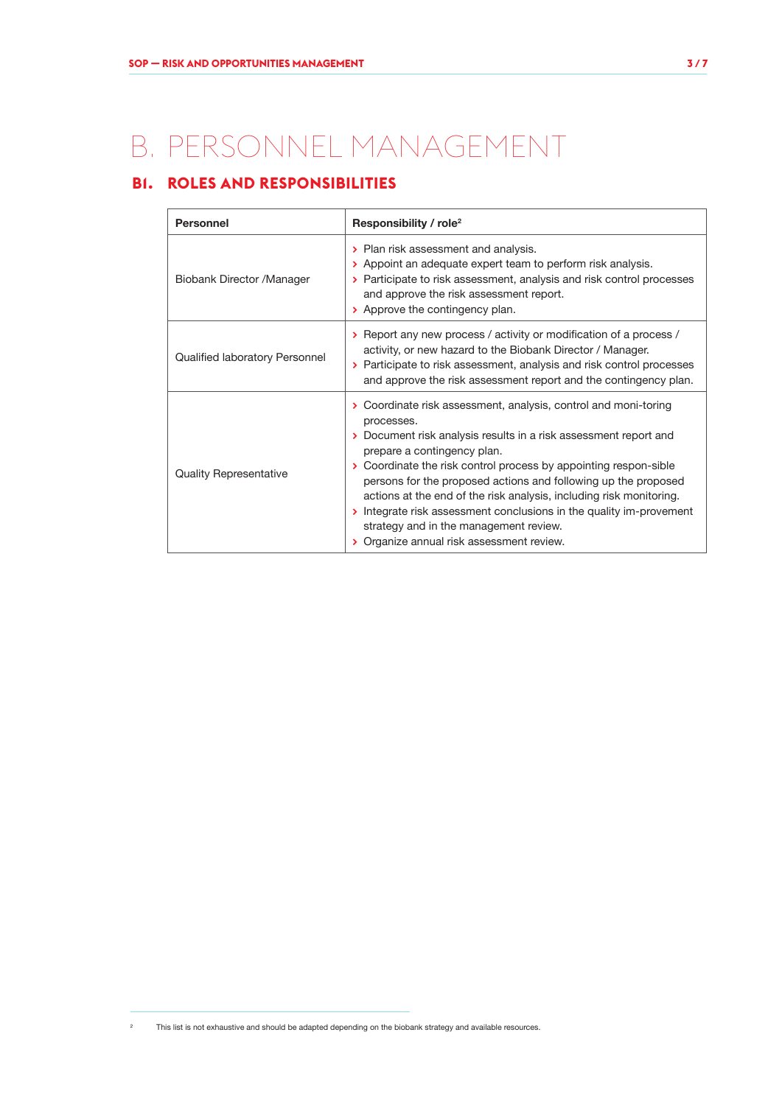# <span id="page-2-0"></span>B. PERSONNEL MANAGEMENT

# **B1. ROLES AND RESPONSIBILITIES**

| <b>Personnel</b>               | Responsibility / role <sup>2</sup>                                                                                                                                                                                                                                                                                                                                                                                                                                                                                                                        |  |  |
|--------------------------------|-----------------------------------------------------------------------------------------------------------------------------------------------------------------------------------------------------------------------------------------------------------------------------------------------------------------------------------------------------------------------------------------------------------------------------------------------------------------------------------------------------------------------------------------------------------|--|--|
| Biobank Director / Manager     | > Plan risk assessment and analysis.<br>> Appoint an adequate expert team to perform risk analysis.<br>> Participate to risk assessment, analysis and risk control processes<br>and approve the risk assessment report.<br>> Approve the contingency plan.                                                                                                                                                                                                                                                                                                |  |  |
| Qualified laboratory Personnel | > Report any new process / activity or modification of a process /<br>activity, or new hazard to the Biobank Director / Manager.<br>> Participate to risk assessment, analysis and risk control processes<br>and approve the risk assessment report and the contingency plan.                                                                                                                                                                                                                                                                             |  |  |
| <b>Quality Representative</b>  | > Coordinate risk assessment, analysis, control and moni-toring<br>processes.<br>> Document risk analysis results in a risk assessment report and<br>prepare a contingency plan.<br>> Coordinate the risk control process by appointing respon-sible<br>persons for the proposed actions and following up the proposed<br>actions at the end of the risk analysis, including risk monitoring.<br>Integrate risk assessment conclusions in the quality im-provement<br>strategy and in the management review.<br>> Organize annual risk assessment review. |  |  |

<sup>&</sup>lt;sup>2</sup> This list is not exhaustive and should be adapted depending on the biobank strategy and available resources.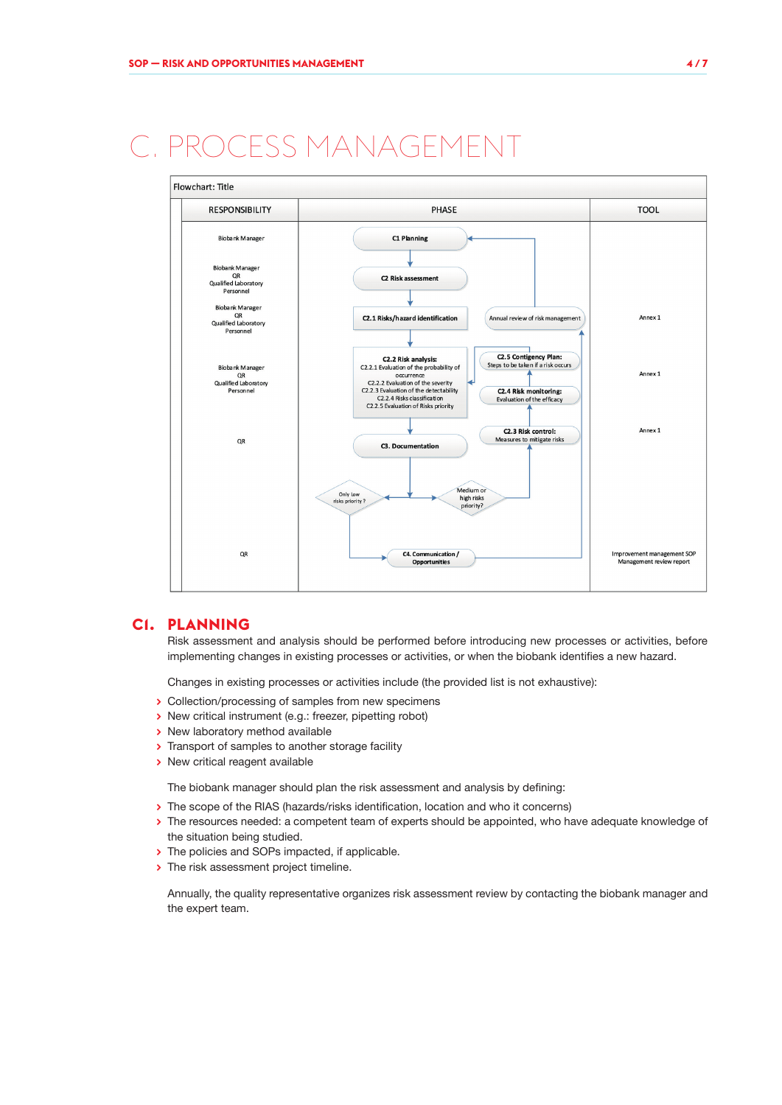# <span id="page-3-0"></span>PROCESS MANAGEMENT



### **C1. PLANNING**

Risk assessment and analysis should be performed before introducing new processes or activities, before implementing changes in existing processes or activities, or when the biobank identifies a new hazard.

Changes in existing processes or activities include (the provided list is not exhaustive):

- **>** Collection/processing of samples from new specimens
- **>** New critical instrument (e.g.: freezer, pipetting robot)
- **>** New laboratory method available
- **>** Transport of samples to another storage facility
- **>** New critical reagent available

The biobank manager should plan the risk assessment and analysis by defining:

- **>** The scope of the RIAS (hazards/risks identification, location and who it concerns)
- **>** The resources needed: a competent team of experts should be appointed, who have adequate knowledge of the situation being studied.
- **>** The policies and SOPs impacted, if applicable.
- **>** The risk assessment project timeline.

Annually, the quality representative organizes risk assessment review by contacting the biobank manager and the expert team.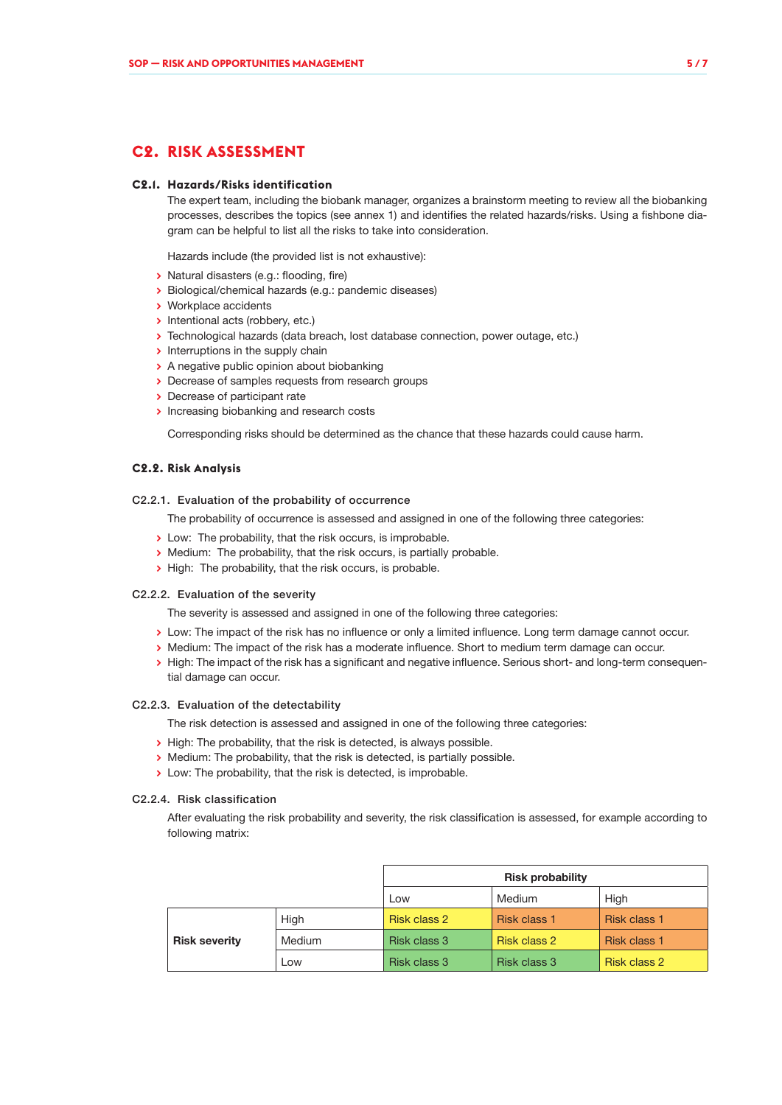## <span id="page-4-0"></span>**C2. RISK ASSESSMENT**

#### **C2.1. Hazards/Risks identification**

The expert team, including the biobank manager, organizes a brainstorm meeting to review all the biobanking processes, describes the topics (see annex 1) and identifies the related hazards/risks. Using a fishbone diagram can be helpful to list all the risks to take into consideration.

Hazards include (the provided list is not exhaustive):

- **>** Natural disasters (e.g.: flooding, fire)
- **>** Biological/chemical hazards (e.g.: pandemic diseases)
- **>** Workplace accidents
- **>** Intentional acts (robbery, etc.)
- **>** Technological hazards (data breach, lost database connection, power outage, etc.)
- **>** Interruptions in the supply chain
- **>** A negative public opinion about biobanking
- **>** Decrease of samples requests from research groups
- **>** Decrease of participant rate
- **>** Increasing biobanking and research costs

Corresponding risks should be determined as the chance that these hazards could cause harm.

#### **C2.2. Risk Analysis**

#### C2.2.1. Evaluation of the probability of occurrence

The probability of occurrence is assessed and assigned in one of the following three categories:

- **>** Low: The probability, that the risk occurs, is improbable.
- **>** Medium: The probability, that the risk occurs, is partially probable.
- **>** High: The probability, that the risk occurs, is probable.

#### C2.2.2. Evaluation of the severity

The severity is assessed and assigned in one of the following three categories:

- **>** Low: The impact of the risk has no influence or only a limited influence. Long term damage cannot occur.
- **>** Medium: The impact of the risk has a moderate influence. Short to medium term damage can occur.
- **>** High: The impact of the risk has a significant and negative influence. Serious short- and long-term consequential damage can occur.

#### C2.2.3. Evaluation of the detectability

The risk detection is assessed and assigned in one of the following three categories:

- **>** High: The probability, that the risk is detected, is always possible.
- **>** Medium: The probability, that the risk is detected, is partially possible.
- **>** Low: The probability, that the risk is detected, is improbable.

#### C2.2.4. Risk classification

After evaluating the risk probability and severity, the risk classification is assessed, for example according to following matrix:

|                      |        | <b>Risk probability</b> |              |              |
|----------------------|--------|-------------------------|--------------|--------------|
|                      |        | Low                     | Medium       | High         |
|                      | High   | Risk class 2            | Risk class 1 | Risk class 1 |
| <b>Risk severity</b> | Medium | Risk class 3            | Risk class 2 | Risk class 1 |
|                      | Low    | Risk class 3            | Risk class 3 | Risk class 2 |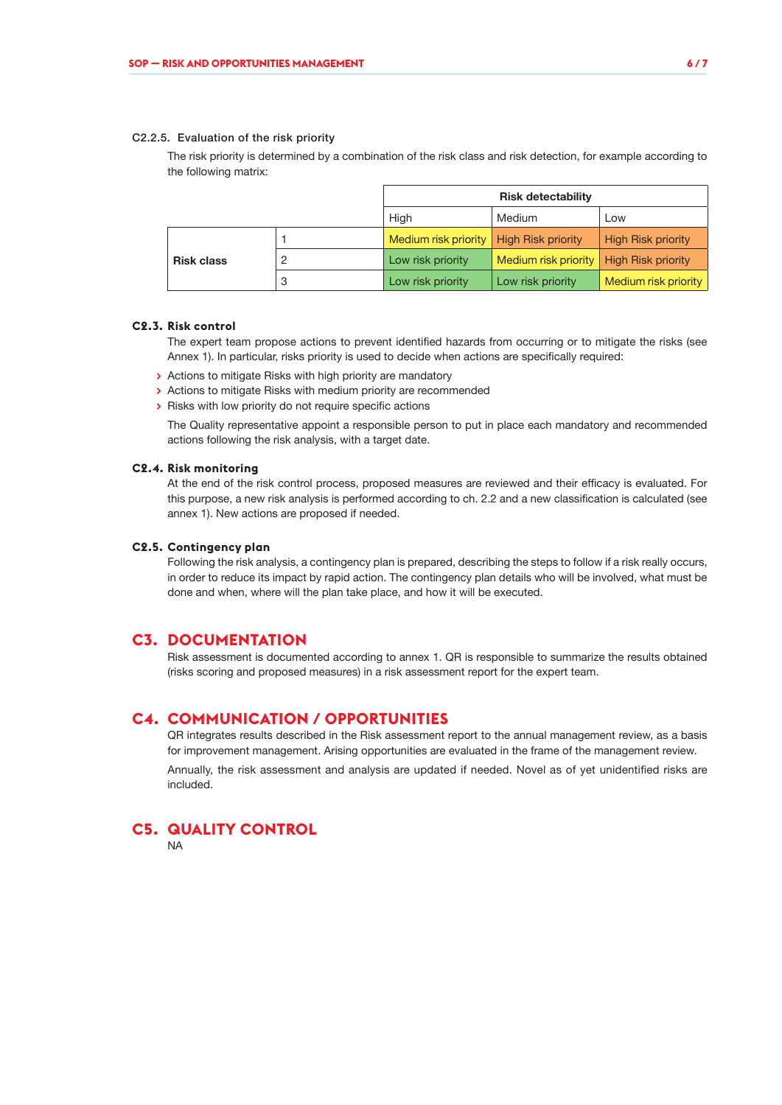#### <span id="page-5-0"></span>C2.2.5. Evaluation of the risk priority

The risk priority is determined by a combination of the risk class and risk detection, for example according to the following matrix:

|                   |   | <b>Risk detectability</b>                 |                                           |                           |
|-------------------|---|-------------------------------------------|-------------------------------------------|---------------------------|
|                   |   | High                                      | Medium                                    | Low                       |
|                   |   | Medium risk priority   High Risk priority |                                           | <b>High Risk priority</b> |
| <b>Risk class</b> |   | Low risk priority                         | Medium risk priority   High Risk priority |                           |
|                   | 3 | Low risk priority                         | Low risk priority                         | Medium risk priority      |

#### **C2.3. Risk control**

The expert team propose actions to prevent identified hazards from occurring or to mitigate the risks (see Annex 1). In particular, risks priority is used to decide when actions are specifically required:

- **>** Actions to mitigate Risks with high priority are mandatory
- **>** Actions to mitigate Risks with medium priority are recommended
- **>** Risks with low priority do not require specific actions

The Quality representative appoint a responsible person to put in place each mandatory and recommended actions following the risk analysis, with a target date.

#### **C2.4. Risk monitoring**

At the end of the risk control process, proposed measures are reviewed and their efficacy is evaluated. For this purpose, a new risk analysis is performed according to ch. 2.2 and a new classification is calculated (see annex 1). New actions are proposed if needed.

#### **C2.5. Contingency plan**

Following the risk analysis, a contingency plan is prepared, describing the steps to follow if a risk really occurs, in order to reduce its impact by rapid action. The contingency plan details who will be involved, what must be done and when, where will the plan take place, and how it will be executed.

### **C3. DOCUMENTATION**

Risk assessment is documented according to annex 1. QR is responsible to summarize the results obtained (risks scoring and proposed measures) in a risk assessment report for the expert team.

### **C4. COMMUNICATION / OPPORTUNITIES**

QR integrates results described in the Risk assessment report to the annual management review, as a basis for improvement management. Arising opportunities are evaluated in the frame of the management review.

Annually, the risk assessment and analysis are updated if needed. Novel as of yet unidentified risks are included.

# **C5. QUALITY CONTROL**

NA